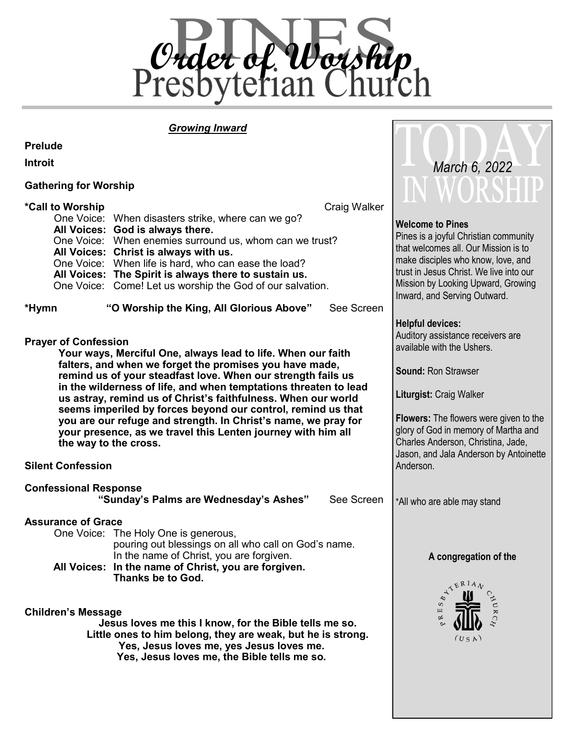

### *Growing Inward*

**Prelude**

**Introit**

### **Gathering for Worship**

|                                                                                                                                                    |                                                                                                                                                                                                                                                                                                                                                                                                                                                                                                                                                         | TT A ALAMITTI                                                                                                                                                                                                                                                                                                         |
|----------------------------------------------------------------------------------------------------------------------------------------------------|---------------------------------------------------------------------------------------------------------------------------------------------------------------------------------------------------------------------------------------------------------------------------------------------------------------------------------------------------------------------------------------------------------------------------------------------------------------------------------------------------------------------------------------------------------|-----------------------------------------------------------------------------------------------------------------------------------------------------------------------------------------------------------------------------------------------------------------------------------------------------------------------|
| *Call to Worship                                                                                                                                   | Craig Walker<br>One Voice: When disasters strike, where can we go?<br>All Voices: God is always there.<br>One Voice: When enemies surround us, whom can we trust?<br>All Voices: Christ is always with us.<br>One Voice: When life is hard, who can ease the load?<br>All Voices: The Spirit is always there to sustain us.<br>One Voice: Come! Let us worship the God of our salvation.                                                                                                                                                                | <b>Welcome to Pines</b><br>Pines is a joyful Christian community<br>that welcomes all. Our Mission is to<br>make disciples who know, love, and<br>trust in Jesus Christ. We live into our<br>Mission by Looking Upward, Growing<br>Inward, and Serving Outward.                                                       |
| *Hymn                                                                                                                                              | "O Worship the King, All Glorious Above"<br>See Screen                                                                                                                                                                                                                                                                                                                                                                                                                                                                                                  |                                                                                                                                                                                                                                                                                                                       |
| <b>Prayer of Confession</b>                                                                                                                        | Your ways, Merciful One, always lead to life. When our faith<br>falters, and when we forget the promises you have made,<br>remind us of your steadfast love. When our strength fails us<br>in the wilderness of life, and when temptations threaten to lead<br>us astray, remind us of Christ's faithfulness. When our world<br>seems imperiled by forces beyond our control, remind us that<br>you are our refuge and strength. In Christ's name, we pray for<br>your presence, as we travel this Lenten journey with him all<br>the way to the cross. | <b>Helpful devices:</b><br>Auditory assistance receivers are<br>available with the Ushers.<br>Sound: Ron Strawser<br>Liturgist: Craig Walker<br><b>Flowers:</b> The flowers were given to the<br>glory of God in memory of Martha and<br>Charles Anderson, Christina, Jade,<br>Jason, and Jala Anderson by Antoinette |
| <b>Silent Confession</b>                                                                                                                           | Anderson.                                                                                                                                                                                                                                                                                                                                                                                                                                                                                                                                               |                                                                                                                                                                                                                                                                                                                       |
| <b>Confessional Response</b>                                                                                                                       | "Sunday's Palms are Wednesday's Ashes"<br>See Screen                                                                                                                                                                                                                                                                                                                                                                                                                                                                                                    | *All who are able may stand                                                                                                                                                                                                                                                                                           |
| <b>Assurance of Grace</b>                                                                                                                          | One Voice: The Holy One is generous,<br>pouring out blessings on all who call on God's name.<br>In the name of Christ, you are forgiven.<br>All Voices: In the name of Christ, you are forgiven.<br>Thanks be to God.                                                                                                                                                                                                                                                                                                                                   | A congregation of the<br>ATERIAL                                                                                                                                                                                                                                                                                      |
| <b>Children's Message</b><br>Jesus loves me this I know, for the Bible tells me so.<br>Little ones to him belong, they are weak, but he is strong. | $\epsilon^{HUR}$<br>(USA)                                                                                                                                                                                                                                                                                                                                                                                                                                                                                                                               |                                                                                                                                                                                                                                                                                                                       |

Jade, Antoinette

 *March 6, 2022*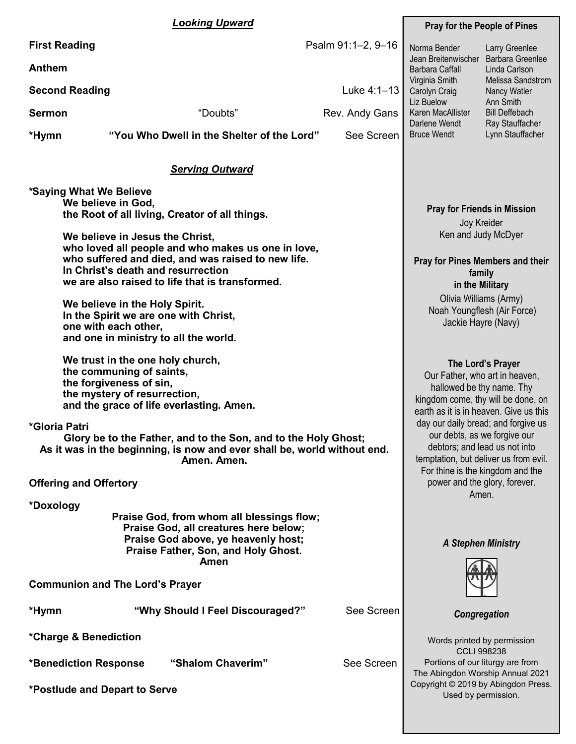|               | <b>Looking Upward</b>                                                                                                                                                                                                                                                                                                                                                                                                                                                                                                                                                                                                                                      | <b>Pray for the People of Pines</b>                                                                                                                                                                                                                                                                                                                                                                  |  |
|---------------|------------------------------------------------------------------------------------------------------------------------------------------------------------------------------------------------------------------------------------------------------------------------------------------------------------------------------------------------------------------------------------------------------------------------------------------------------------------------------------------------------------------------------------------------------------------------------------------------------------------------------------------------------------|------------------------------------------------------------------------------------------------------------------------------------------------------------------------------------------------------------------------------------------------------------------------------------------------------------------------------------------------------------------------------------------------------|--|
| <b>Anthem</b> | Psalm 91:1-2, 9-16<br><b>First Reading</b>                                                                                                                                                                                                                                                                                                                                                                                                                                                                                                                                                                                                                 | Norma Bender<br>Larry Greenlee<br><b>Barbara Greenlee</b><br>Jean Breitenwischer                                                                                                                                                                                                                                                                                                                     |  |
|               |                                                                                                                                                                                                                                                                                                                                                                                                                                                                                                                                                                                                                                                            | <b>Barbara Caffall</b><br>Linda Carlson<br>Virginia Smith<br>Melissa Sandstrom                                                                                                                                                                                                                                                                                                                       |  |
|               | <b>Second Reading</b><br>Luke 4:1-13                                                                                                                                                                                                                                                                                                                                                                                                                                                                                                                                                                                                                       | Carolyn Craig<br>Nancy Watler<br>Liz Buelow<br>Ann Smith                                                                                                                                                                                                                                                                                                                                             |  |
| <b>Sermon</b> | "Doubts"<br>Rev. Andy Gans                                                                                                                                                                                                                                                                                                                                                                                                                                                                                                                                                                                                                                 | Karen MacAllister<br><b>Bill Deffebach</b><br>Darlene Wendt<br>Ray Stauffacher                                                                                                                                                                                                                                                                                                                       |  |
| *Hymn         | "You Who Dwell in the Shelter of the Lord"<br>See Screen                                                                                                                                                                                                                                                                                                                                                                                                                                                                                                                                                                                                   | <b>Bruce Wendt</b><br>Lynn Stauffacher                                                                                                                                                                                                                                                                                                                                                               |  |
|               | <b>Serving Outward</b>                                                                                                                                                                                                                                                                                                                                                                                                                                                                                                                                                                                                                                     |                                                                                                                                                                                                                                                                                                                                                                                                      |  |
|               | *Saying What We Believe<br>We believe in God,<br>the Root of all living, Creator of all things.<br>We believe in Jesus the Christ,<br>who loved all people and who makes us one in love,<br>who suffered and died, and was raised to new life.<br>In Christ's death and resurrection<br>we are also raised to life that is transformed.<br>We believe in the Holy Spirit.<br>In the Spirit we are one with Christ,<br>one with each other,<br>and one in ministry to all the world.<br>We trust in the one holy church,<br>the communing of saints,<br>the forgiveness of sin,<br>the mystery of resurrection,<br>and the grace of life everlasting. Amen. | <b>Pray for Friends in Mission</b><br>Joy Kreider<br>Ken and Judy McDyer<br><b>Pray for Pines Members and their</b><br>family<br>in the Military<br>Olivia Williams (Army)<br>Noah Youngflesh (Air Force)<br>Jackie Hayre (Navy)<br>The Lord's Prayer<br>Our Father, who art in heaven,<br>hallowed be thy name. Thy<br>kingdom come, thy will be done, on<br>earth as it is in heaven. Give us this |  |
| *Gloria Patri | Glory be to the Father, and to the Son, and to the Holy Ghost;<br>As it was in the beginning, is now and ever shall be, world without end.<br>Amen. Amen.                                                                                                                                                                                                                                                                                                                                                                                                                                                                                                  | day our daily bread; and forgive us<br>our debts, as we forgive our<br>debtors; and lead us not into<br>temptation, but deliver us from evil.<br>For thine is the kingdom and the                                                                                                                                                                                                                    |  |
|               | <b>Offering and Offertory</b>                                                                                                                                                                                                                                                                                                                                                                                                                                                                                                                                                                                                                              | power and the glory, forever.<br>Amen.                                                                                                                                                                                                                                                                                                                                                               |  |
| *Doxology     | Praise God, from whom all blessings flow;<br>Praise God, all creatures here below;<br>Praise God above, ye heavenly host;<br>Praise Father, Son, and Holy Ghost.<br>Amen                                                                                                                                                                                                                                                                                                                                                                                                                                                                                   | <b>A Stephen Ministry</b>                                                                                                                                                                                                                                                                                                                                                                            |  |
|               | <b>Communion and The Lord's Prayer</b>                                                                                                                                                                                                                                                                                                                                                                                                                                                                                                                                                                                                                     |                                                                                                                                                                                                                                                                                                                                                                                                      |  |
| *Hymn         | "Why Should I Feel Discouraged?"<br>See Screen                                                                                                                                                                                                                                                                                                                                                                                                                                                                                                                                                                                                             | Congregation                                                                                                                                                                                                                                                                                                                                                                                         |  |
|               | *Charge & Benediction                                                                                                                                                                                                                                                                                                                                                                                                                                                                                                                                                                                                                                      | Words printed by permission<br><b>CCLI 998238</b>                                                                                                                                                                                                                                                                                                                                                    |  |
|               | *Benediction Response<br>"Shalom Chaverim"<br>See Screen                                                                                                                                                                                                                                                                                                                                                                                                                                                                                                                                                                                                   | Portions of our liturgy are from<br>The Abingdon Worship Annual 2021                                                                                                                                                                                                                                                                                                                                 |  |
|               | *Postlude and Depart to Serve                                                                                                                                                                                                                                                                                                                                                                                                                                                                                                                                                                                                                              | Copyright © 2019 by Abingdon Press.<br>Used by permission.                                                                                                                                                                                                                                                                                                                                           |  |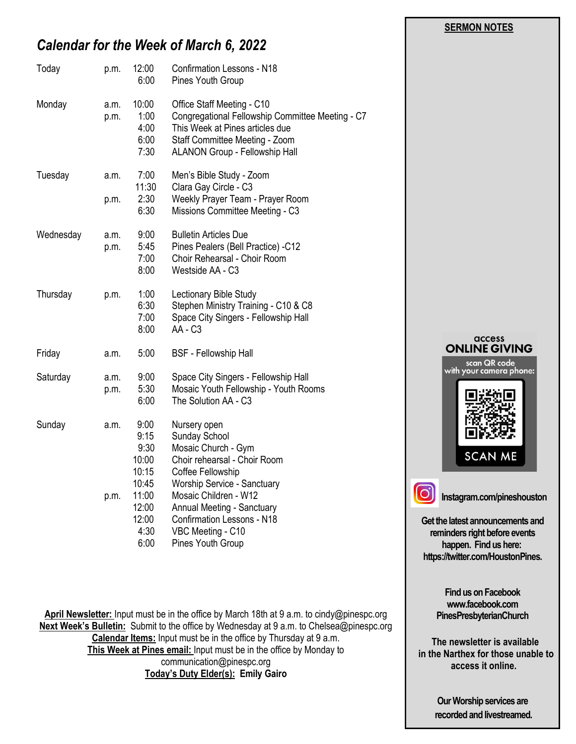#### **SERMON NOTES**

# *Calendar for the Week of March 6, 2022*

| Today     | p.m.         | 12:00<br>6:00                                   | <b>Confirmation Lessons - N18</b><br>Pines Youth Group                                                                                                                                       |
|-----------|--------------|-------------------------------------------------|----------------------------------------------------------------------------------------------------------------------------------------------------------------------------------------------|
| Monday    | a.m.<br>p.m. | 10:00<br>1:00<br>4:00<br>6:00<br>7:30           | Office Staff Meeting - C10<br>Congregational Fellowship Committee Meeting - C7<br>This Week at Pines articles due<br>Staff Committee Meeting - Zoom<br><b>ALANON Group - Fellowship Hall</b> |
| Tuesday   | a.m.         | 7:00<br>11:30                                   | Men's Bible Study - Zoom<br>Clara Gay Circle - C3                                                                                                                                            |
|           | p.m.         | 2:30<br>6:30                                    | Weekly Prayer Team - Prayer Room<br>Missions Committee Meeting - C3                                                                                                                          |
| Wednesday | a.m.<br>p.m. | 9:00<br>5:45<br>7:00<br>8:00                    | <b>Bulletin Articles Due</b><br>Pines Pealers (Bell Practice) -C12<br>Choir Rehearsal - Choir Room<br>Westside AA - C3                                                                       |
| Thursday  | p.m.         | 1:00<br>6:30<br>7:00<br>8:00                    | Lectionary Bible Study<br>Stephen Ministry Training - C10 & C8<br>Space City Singers - Fellowship Hall<br>AA - C3                                                                            |
| Friday    | a.m.         | 5:00                                            | <b>BSF</b> - Fellowship Hall                                                                                                                                                                 |
| Saturday  | a.m.<br>p.m. | 9:00<br>5:30<br>6:00                            | Space City Singers - Fellowship Hall<br>Mosaic Youth Fellowship - Youth Rooms<br>The Solution AA - C3                                                                                        |
| Sunday    | a.m.         | 9:00<br>9:15<br>9:30<br>10:00<br>10:15<br>10:45 | Nursery open<br>Sunday School<br>Mosaic Church - Gym<br>Choir rehearsal - Choir Room<br>Coffee Fellowship<br>Worship Service - Sanctuary                                                     |
|           | p.m.         | 11:00<br>12:00<br>12:00<br>4:30<br>6:00         | Mosaic Children - W12<br>Annual Meeting - Sanctuary<br><b>Confirmation Lessons - N18</b><br>VBC Meeting - C10<br>Pines Youth Group                                                           |

**April Newsletter:** Input must be in the office by March 18th at 9 a.m. to cindy@pinespc.org **Next Week's Bulletin:** Submit to the office by Wednesday at 9 a.m. to Chelsea@pinespc.org **Calendar Items:** Input must be in the office by Thursday at 9 a.m. **This Week at Pines email:** Input must be in the office by Monday to communication@pinespc.org **Today's Duty Elder(s): Emily Gairo**



**Get the latest announcements and reminders right before events happen. Find us here: https://twitter.com/HoustonPines.** 

> **Find us on Facebook www.facebook.com PinesPresbyterianChurch**

 **The newsletter is available in the Narthex for those unable to access it online.**

> **Our Worship services are recorded and livestreamed.**